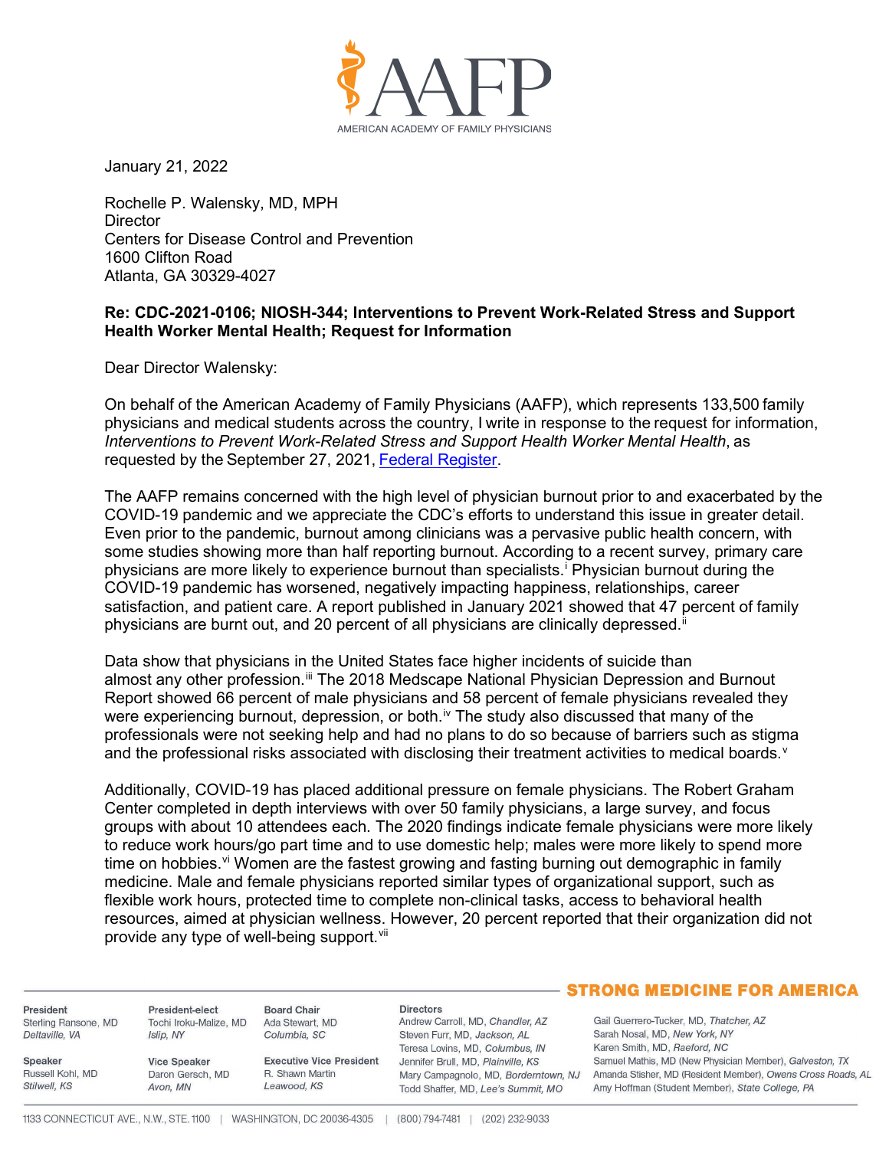

January 21, 2022

Rochelle P. Walensky, MD, MPH **Director** Centers for Disease Control and Prevention 1600 Clifton Road Atlanta, GA 30329-4027

## **Re: CDC-2021-0106; NIOSH-344; Interventions to Prevent Work-Related Stress and Support Health Worker Mental Health; Request for Information**

Dear Director Walensky:

On behalf of the American Academy of Family Physicians (AAFP), which represents 133,500 family physicians and medical students across the country, I write in response to the request for information, *Interventions to Prevent Work-Related Stress and Support Health Worker Mental Health*, as requested by the September 27, 2021, Federal Register.

The AAFP remains concerned with the high level of physician burnout prior to and exacerbated by the COVID-19 pandemic and we appreciate the CDC's efforts to understand this issue in greater detail. Even prior to the pandemic, burnout among clinicians was a pervasive public health concern, with some studies showing more than half reporting burnout. According to a recent survey, primary care physicians are more likely to experience burnout than specialists. <sup>i</sup> Physician burnout during the COVID-19 pandemic has worsened, negatively impacting happiness, relationships, career satisfaction, and patient care. A report published in January 2021 showed that 47 percent of family physicians are burnt out, and 20 percent of all physicians are clinically depressed. $\mathbb{I}$ 

Data show that physicians in the United States face higher incidents of suicide than almost any other profession.<sup>iii</sup> The 2018 Medscape National Physician Depression and Burnout Report showed 66 percent of male physicians and 58 percent of female physicians revealed they were experiencing burnout, depression, or both.<sup>iv</sup> The study also discussed that many of the professionals were not seeking help and had no plans to do so because of barriers such as stigma and the professional risks associated with disclosing their treatment activities to medical boards.<sup>v</sup>

Additionally, COVID-19 has placed additional pressure on female physicians. The Robert Graham Center completed in depth interviews with over 50 family physicians, a large survey, and focus groups with about 10 attendees each. The 2020 findings indicate female physicians were more likely to reduce work hours/go part time and to use domestic help; males were more likely to spend more time on hobbies.<sup>vi</sup> Women are the fastest growing and fasting burning out demographic in family medicine. Male and female physicians reported similar types of organizational support, such as flexible work hours, protected time to complete non-clinical tasks, access to behavioral health resources, aimed at physician wellness. However, 20 percent reported that their organization did not provide any type of well-being support.<sup>vii</sup>

President Sterling Ransone, MD Deltaville, VA

Russell Kohl, MD

**Speaker** 

Stilwell, KS

President-elect Tochi Iroku-Malize, MD Ada Stewart, MD Islip, NY

**Vice Speaker** Daron Gersch, MD Avon, MN

**Executive Vice President** R. Shawn Martin Leawood, KS

## **Directors**

Andrew Carroll, MD, Chandler, AZ Steven Furr, MD, Jackson, AL Teresa Lovins, MD, Columbus, IN Jennifer Brull, MD, Plainville, KS Mary Campagnolo, MD, Borderntown, NJ Todd Shaffer, MD, Lee's Summit, MO

## **STRONG MEDICINE FOR AMERICA**

Gail Guerrero-Tucker, MD, Thatcher, AZ Sarah Nosal, MD, New York, NY Karen Smith, MD, Raeford, NC Samuel Mathis, MD (New Physician Member), Galveston, TX Amanda Stisher, MD (Resident Member), Owens Cross Roads, AL Amy Hoffman (Student Member), State College, PA

**Board Chair** 

Columbia, SC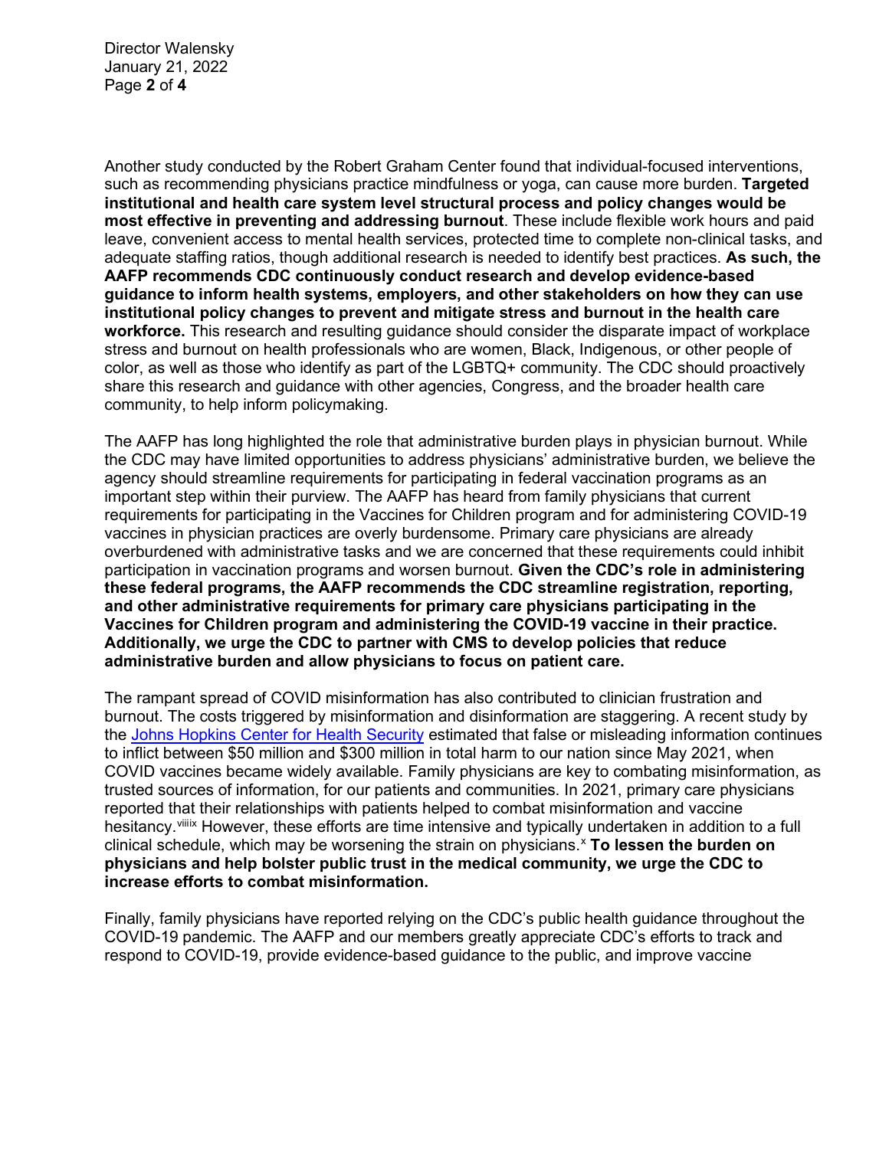Director Walensky January 21, 2022 Page **2** of **4**

Another study conducted by the Robert Graham Center found that individual-focused interventions, such as recommending physicians practice mindfulness or yoga, can cause more burden. **Targeted institutional and health care system level structural process and policy changes would be most effective in preventing and addressing burnout**. These include flexible work hours and paid leave, convenient access to mental health services, protected time to complete non-clinical tasks, and adequate staffing ratios, though additional research is needed to identify best practices. **As such, the AAFP recommends CDC continuously conduct research and develop evidence-based guidance to inform health systems, employers, and other stakeholders on how they can use institutional policy changes to prevent and mitigate stress and burnout in the health care workforce.** This research and resulting guidance should consider the disparate impact of workplace stress and burnout on health professionals who are women, Black, Indigenous, or other people of color, as well as those who identify as part of the LGBTQ+ community. The CDC should proactively share this research and guidance with other agencies, Congress, and the broader health care community, to help inform policymaking.

The AAFP has long highlighted the role that administrative burden plays in physician burnout. While the CDC may have limited opportunities to address physicians' administrative burden, we believe the agency should streamline requirements for participating in federal vaccination programs as an important step within their purview. The AAFP has heard from family physicians that current requirements for participating in the Vaccines for Children program and for administering COVID-19 vaccines in physician practices are overly burdensome. Primary care physicians are already overburdened with administrative tasks and we are concerned that these requirements could inhibit participation in vaccination programs and worsen burnout. **Given the CDC's role in administering these federal programs, the AAFP recommends the CDC streamline registration, reporting, and other administrative requirements for primary care physicians participating in the Vaccines for Children program and administering the COVID-19 vaccine in their practice. Additionally, we urge the CDC to partner with CMS to develop policies that reduce administrative burden and allow physicians to focus on patient care.**

The rampant spread of COVID misinformation has also contributed to clinician frustration and burnout. The costs triggered by misinformation and disinformation are staggering. A recent study by the Johns Hopkins Center for Health Security estimated that false or misleading information continues to inflict between \$50 million and \$300 million in total harm to our nation since May 2021, when COVID vaccines became widely available. Family physicians are key to combating misinformation, as trusted sources of information, for our patients and communities. In 2021, primary care physicians reported that their relationships with patients helped to combat misinformation and vaccine hesitancy.<sup>viiix</sup> However, these efforts are time intensive and typically undertaken in addition to a full clinical schedule, which may be worsening the strain on physicians.x **To lessen the burden on physicians and help bolster public trust in the medical community, we urge the CDC to increase efforts to combat misinformation.**

Finally, family physicians have reported relying on the CDC's public health guidance throughout the COVID-19 pandemic. The AAFP and our members greatly appreciate CDC's efforts to track and respond to COVID-19, provide evidence-based guidance to the public, and improve vaccine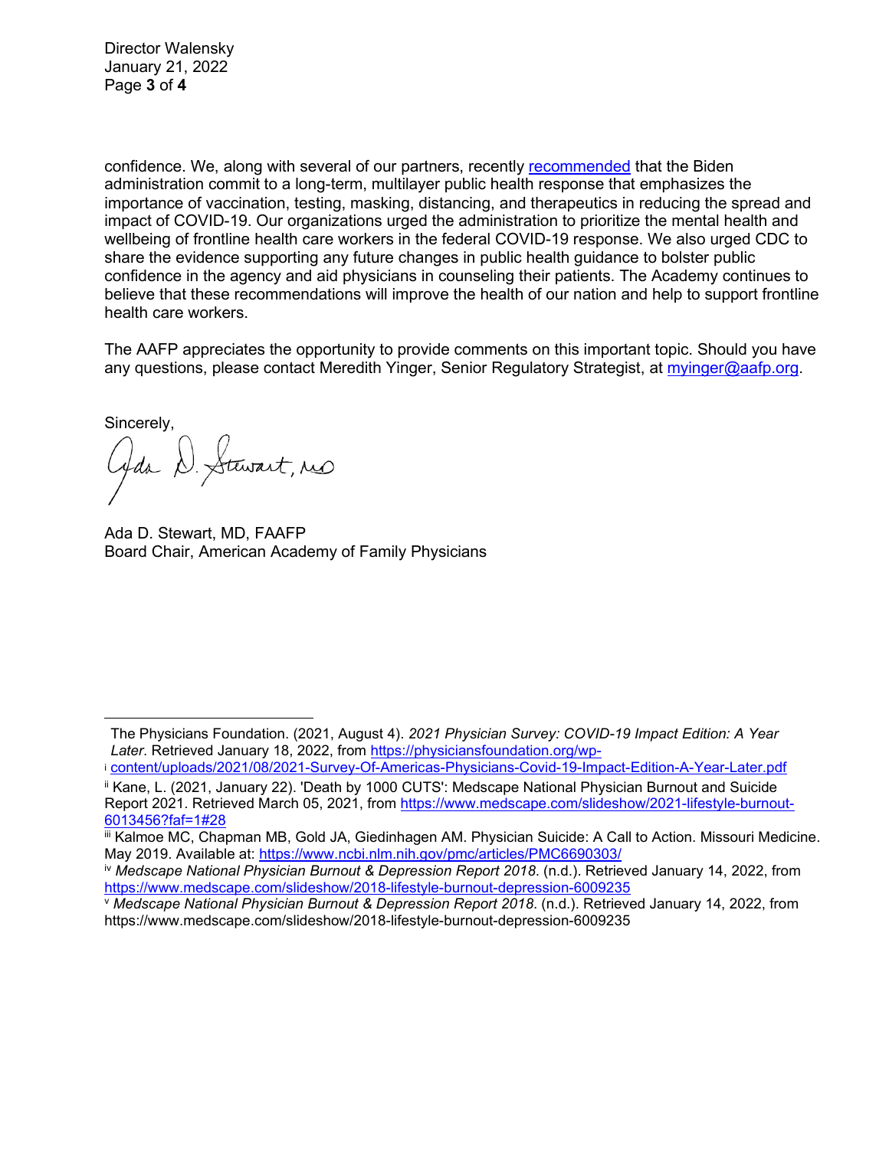Director Walensky January 21, 2022 Page **3** of **4**

confidence. We, along with several of our partners, recently recommended that the Biden administration commit to a long-term, multilayer public health response that emphasizes the importance of vaccination, testing, masking, distancing, and therapeutics in reducing the spread and impact of COVID-19. Our organizations urged the administration to prioritize the mental health and wellbeing of frontline health care workers in the federal COVID-19 response. We also urged CDC to share the evidence supporting any future changes in public health guidance to bolster public confidence in the agency and aid physicians in counseling their patients. The Academy continues to believe that these recommendations will improve the health of our nation and help to support frontline health care workers.

The AAFP appreciates the opportunity to provide comments on this important topic. Should you have any questions, please contact Meredith Yinger, Senior Regulatory Strategist, at myinger@aafp.org.

Sincerely,

Gda D. Stewart, no

Ada D. Stewart, MD, FAAFP Board Chair, American Academy of Family Physicians

The Physicians Foundation. (2021, August 4). *2021 Physician Survey: COVID-19 Impact Edition: A Year Later*. Retrieved January 18, 2022, from https://physiciansfoundation.org/wp-

i content/uploads/2021/08/2021-Survey-Of-Americas-Physicians-Covid-19-Impact-Edition-A-Year-Later.pdf

ii Kane, L. (2021, January 22). 'Death by 1000 CUTS': Medscape National Physician Burnout and Suicide Report 2021. Retrieved March 05, 2021, from https://www.medscape.com/slideshow/2021-lifestyle-burnout-6013456?faf=1#28

iii Kalmoe MC, Chapman MB, Gold JA, Giedinhagen AM. Physician Suicide: A Call to Action. Missouri Medicine. May 2019. Available at: https://www.ncbi.nlm.nih.gov/pmc/articles/PMC6690303/

iv *Medscape National Physician Burnout & Depression Report 2018*. (n.d.). Retrieved January 14, 2022, from https://www.medscape.com/slideshow/2018-lifestyle-burnout-depression-6009235

<sup>v</sup> *Medscape National Physician Burnout & Depression Report 2018*. (n.d.). Retrieved January 14, 2022, from https://www.medscape.com/slideshow/2018-lifestyle-burnout-depression-6009235